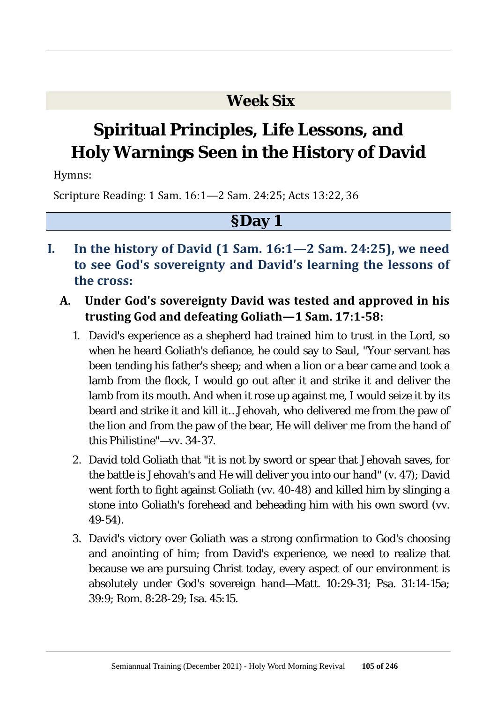### **Week Six**

# **Spiritual Principles, Life Lessons, and Holy Warnings Seen in the History of David**

Hymns:

Scripture Reading: 1 Sam. 16:1—2 Sam. 24:25; Acts 13:22, 36

- **I. In the history of David (1 Sam. 16:1—2 Sam. 24:25), we need to see God's sovereignty and David's learning the lessons of the cross:**
	- **A. Under God's sovereignty David was tested and approved in his trusting God and defeating Goliath—1 Sam. 17:1-58:**
		- 1. David's experience as a shepherd had trained him to trust in the Lord, so when he heard Goliath's defiance, he could say to Saul, "Your servant has been tending his father's sheep; and when a lion or a bear came and took a lamb from the flock, I would go out after it and strike it and deliver the lamb from its mouth. And when it rose up against me, I would seize it by its beard and strike it and kill it…Jehovah, who delivered me from the paw of the lion and from the paw of the bear, He will deliver me from the hand of this Philistine"—vv. 34-37.
		- 2. David told Goliath that "it is not by sword or spear that Jehovah saves, for the battle is Jehovah's and He will deliver you into our hand" (v. 47); David went forth to fight against Goliath (vv. 40-48) and killed him by slinging a stone into Goliath's forehead and beheading him with his own sword (vv. 49-54).
		- 3. David's victory over Goliath was a strong confirmation to God's choosing and anointing of him; from David's experience, we need to realize that because we are pursuing Christ today, every aspect of our environment is absolutely under God's sovereign hand—Matt. 10:29-31; Psa. 31:14-15a; 39:9; Rom. 8:28-29; Isa. 45:15.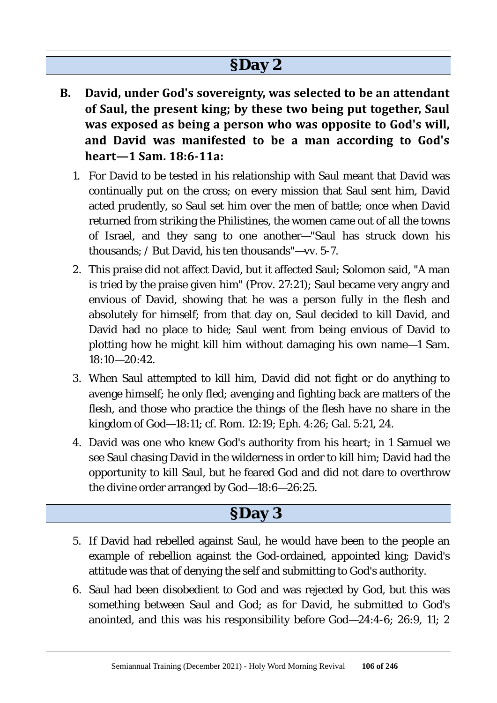### **§Day 2**

- **B. David, under God's sovereignty, was selected to be an attendant of Saul, the present king; by these two being put together, Saul was exposed as being a person who was opposite to God's will, and David was manifested to be a man according to God's heart—1 Sam. 18:6-11a:**
	- 1. For David to be tested in his relationship with Saul meant that David was continually put on the cross; on every mission that Saul sent him, David acted prudently, so Saul set him over the men of battle; once when David returned from striking the Philistines, the women came out of all the towns of Israel, and they sang to one another—"Saul has struck down his thousands; / But David, his ten thousands"—vv. 5-7.
	- 2. This praise did not affect David, but it affected Saul; Solomon said, "A man is tried by the praise given him" (Prov. 27:21); Saul became very angry and envious of David, showing that he was a person fully in the flesh and absolutely for himself; from that day on, Saul decided to kill David, and David had no place to hide; Saul went from being envious of David to plotting how he might kill him without damaging his own name—1 Sam. 18:10—20:42.
	- 3. When Saul attempted to kill him, David did not fight or do anything to avenge himself; he only fled; avenging and fighting back are matters of the flesh, and those who practice the things of the flesh have no share in the kingdom of God—18:11; cf. Rom. 12:19; Eph. 4:26; Gal. 5:21, 24.
	- 4. David was one who knew God's authority from his heart; in 1 Samuel we see Saul chasing David in the wilderness in order to kill him; David had the opportunity to kill Saul, but he feared God and did not dare to overthrow the divine order arranged by God—18:6—26:25.

- 5. If David had rebelled against Saul, he would have been to the people an example of rebellion against the God-ordained, appointed king; David's attitude was that of denying the self and submitting to God's authority.
- 6. Saul had been disobedient to God and was rejected by God, but this was something between Saul and God; as for David, he submitted to God's anointed, and this was his responsibility before God—24:4-6; 26:9, 11; 2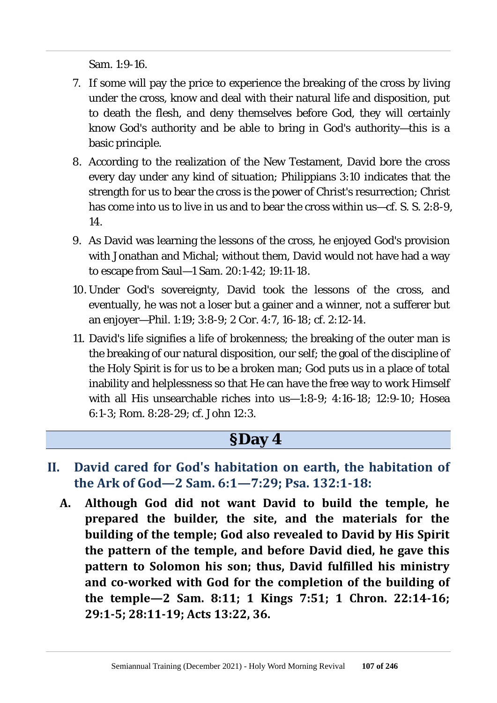Sam. 1:9-16.

- 7. If some will pay the price to experience the breaking of the cross by living under the cross, know and deal with their natural life and disposition, put to death the flesh, and deny themselves before God, they will certainly know God's authority and be able to bring in God's authority—this is a basic principle.
- 8. According to the realization of the New Testament, David bore the cross every day under any kind of situation; Philippians 3:10 indicates that the strength for us to bear the cross is the power of Christ's resurrection; Christ has come into us to live in us and to bear the cross within us—cf. S. S. 2:8-9, 14.
- 9. As David was learning the lessons of the cross, he enjoyed God's provision with Jonathan and Michal; without them, David would not have had a way to escape from Saul—1 Sam. 20:1-42; 19:11-18.
- 10. Under God's sovereignty, David took the lessons of the cross, and eventually, he was not a loser but a gainer and a winner, not a sufferer but an enjoyer—Phil. 1:19; 3:8-9; 2 Cor. 4:7, 16-18; cf. 2:12-14.
- 11. David's life signifies a life of brokenness; the breaking of the outer man is the breaking of our natural disposition, our self; the goal of the discipline of the Holy Spirit is for us to be a broken man; God puts us in a place of total inability and helplessness so that He can have the free way to work Himself with all His unsearchable riches into us—1:8-9; 4:16-18; 12:9-10; Hosea 6:1-3; Rom. 8:28-29; cf. John 12:3.

- **II. David cared for God's habitation on earth, the habitation of the Ark of God—2 Sam. 6:1—7:29; Psa. 132:1-18:**
	- **A. Although God did not want David to build the temple, he prepared the builder, the site, and the materials for the building of the temple; God also revealed to David by His Spirit the pattern of the temple, and before David died, he gave this pattern to Solomon his son; thus, David fulfilled his ministry and co-worked with God for the completion of the building of the temple—2 Sam. 8:11; 1 Kings 7:51; 1 Chron. 22:14-16; 29:1-5; 28:11-19; Acts 13:22, 36.**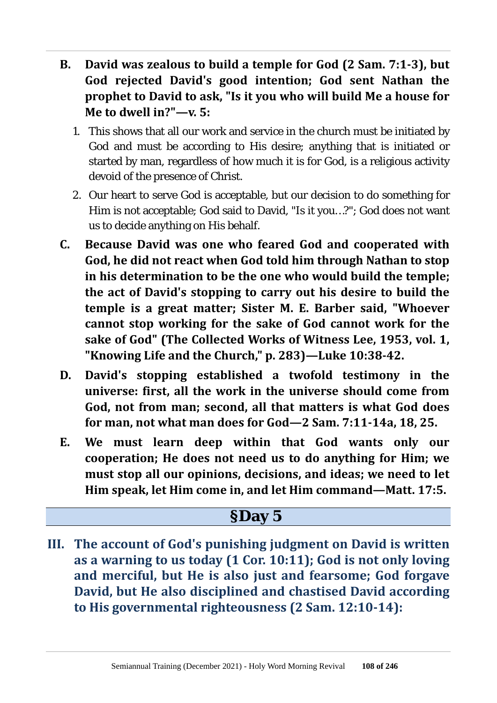- **B. David was zealous to build a temple for God (2 Sam. 7:1-3), but God rejected David's good intention; God sent Nathan the prophet to David to ask, "Is it you who will build Me a house for Me to dwell in?"—v. 5:**
	- 1. This shows that all our work and service in the church must be initiated by God and must be according to His desire; anything that is initiated or started by man, regardless of how much it is for God, is a religious activity devoid of the presence of Christ.
	- 2. Our heart to serve God is acceptable, but our decision to do something for Him is not acceptable; God said to David, "Is it you…?"; God does not want us to decide anything on His behalf.
- **C. Because David was one who feared God and cooperated with God, he did not react when God told him through Nathan to stop in his determination to be the one who would build the temple; the act of David's stopping to carry out his desire to build the temple is a great matter; Sister M. E. Barber said, "Whoever cannot stop working for the sake of God cannot work for the sake of God" (The Collected Works of Witness Lee, 1953, vol. 1, "Knowing Life and the Church," p. 283)—Luke 10:38-42.**
- **D. David's stopping established a twofold testimony in the universe: first, all the work in the universe should come from God, not from man; second, all that matters is what God does for man, not what man does for God—2 Sam. 7:11-14a, 18, 25.**
- **E. We must learn deep within that God wants only our cooperation; He does not need us to do anything for Him; we must stop all our opinions, decisions, and ideas; we need to let Him speak, let Him come in, and let Him command—Matt. 17:5.**

#### **§Day 5**

**III. The account of God's punishing judgment on David is written as a warning to us today (1 Cor. 10:11); God is not only loving and merciful, but He is also just and fearsome; God forgave David, but He also disciplined and chastised David according to His governmental righteousness (2 Sam. 12:10-14):**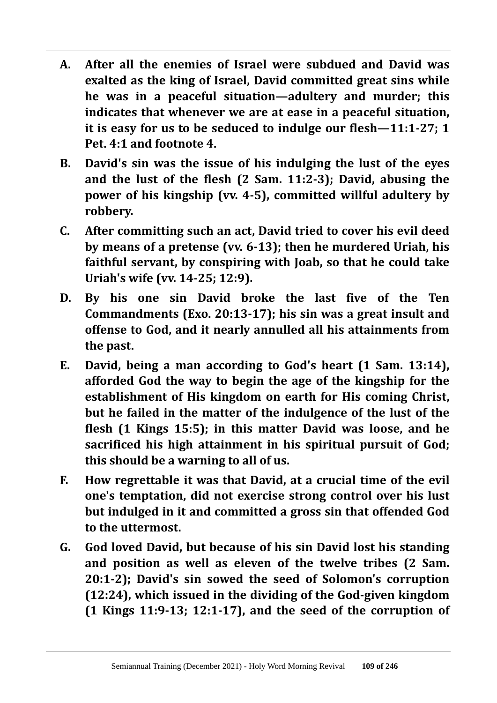- **A. After all the enemies of Israel were subdued and David was exalted as the king of Israel, David committed great sins while he was in a peaceful situation—adultery and murder; this indicates that whenever we are at ease in a peaceful situation, it is easy for us to be seduced to indulge our flesh—11:1-27; 1 Pet. 4:1 and footnote 4.**
- **B. David's sin was the issue of his indulging the lust of the eyes and the lust of the flesh (2 Sam. 11:2-3); David, abusing the power of his kingship (vv. 4-5), committed willful adultery by robbery.**
- **C. After committing such an act, David tried to cover his evil deed by means of a pretense (vv. 6-13); then he murdered Uriah, his faithful servant, by conspiring with Joab, so that he could take Uriah's wife (vv. 14-25; 12:9).**
- **D. By his one sin David broke the last five of the Ten Commandments (Exo. 20:13-17); his sin was a great insult and offense to God, and it nearly annulled all his attainments from the past.**
- **E. David, being a man according to God's heart (1 Sam. 13:14), afforded God the way to begin the age of the kingship for the establishment of His kingdom on earth for His coming Christ, but he failed in the matter of the indulgence of the lust of the flesh (1 Kings 15:5); in this matter David was loose, and he sacrificed his high attainment in his spiritual pursuit of God; this should be a warning to all of us.**
- **F. How regrettable it was that David, at a crucial time of the evil one's temptation, did not exercise strong control over his lust but indulged in it and committed a gross sin that offended God to the uttermost.**
- **G. God loved David, but because of his sin David lost his standing and position as well as eleven of the twelve tribes (2 Sam. 20:1-2); David's sin sowed the seed of Solomon's corruption (12:24), which issued in the dividing of the God-given kingdom (1 Kings 11:9-13; 12:1-17), and the seed of the corruption of**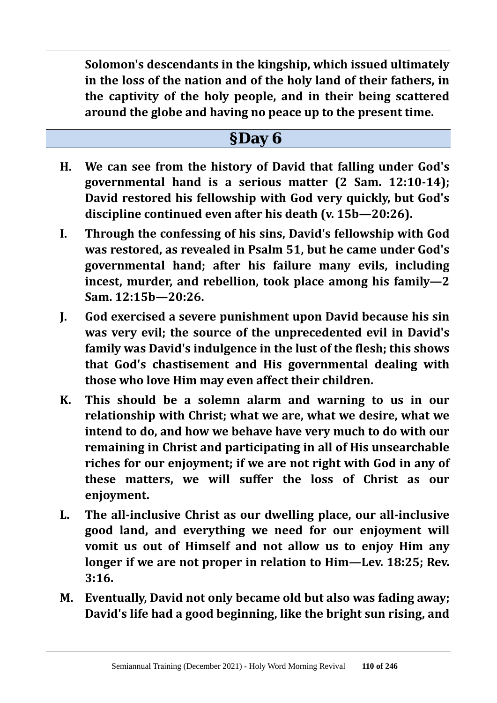**Solomon's descendants in the kingship, which issued ultimately in the loss of the nation and of the holy land of their fathers, in the captivity of the holy people, and in their being scattered around the globe and having no peace up to the present time.**

- **H. We can see from the history of David that falling under God's governmental hand is a serious matter (2 Sam. 12:10-14); David restored his fellowship with God very quickly, but God's discipline continued even after his death (v. 15b—20:26).**
- **I. Through the confessing of his sins, David's fellowship with God was restored, as revealed in Psalm 51, but he came under God's governmental hand; after his failure many evils, including incest, murder, and rebellion, took place among his family—2 Sam. 12:15b—20:26.**
- **J. God exercised a severe punishment upon David because his sin was very evil; the source of the unprecedented evil in David's family was David's indulgence in the lust of the flesh; this shows that God's chastisement and His governmental dealing with those who love Him may even affect their children.**
- **K. This should be a solemn alarm and warning to us in our relationship with Christ; what we are, what we desire, what we intend to do, and how we behave have very much to do with our remaining in Christ and participating in all of His unsearchable riches for our enjoyment; if we are not right with God in any of these matters, we will suffer the loss of Christ as our enjoyment.**
- **L. The all-inclusive Christ as our dwelling place, our all-inclusive good land, and everything we need for our enjoyment will vomit us out of Himself and not allow us to enjoy Him any longer if we are not proper in relation to Him—Lev. 18:25; Rev. 3:16.**
- **M. Eventually, David not only became old but also was fading away; David's life had a good beginning, like the bright sun rising, and**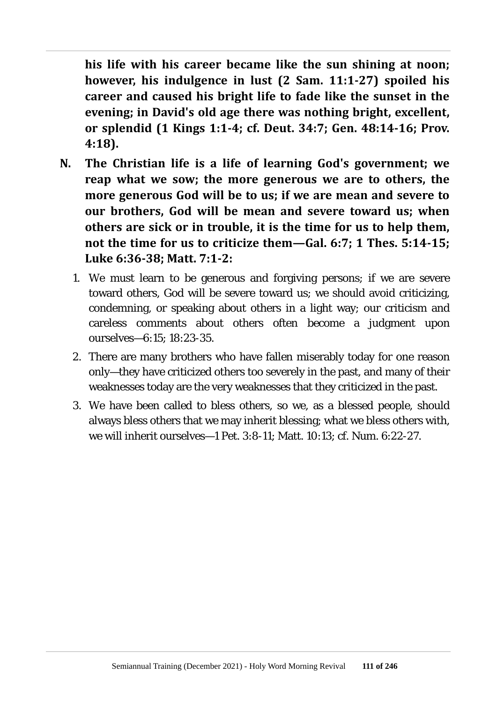**his life with his career became like the sun shining at noon; however, his indulgence in lust (2 Sam. 11:1-27) spoiled his career and caused his bright life to fade like the sunset in the evening; in David's old age there was nothing bright, excellent, or splendid (1 Kings 1:1-4; cf. Deut. 34:7; Gen. 48:14-16; Prov. 4:18).**

- **N. The Christian life is a life of learning God's government; we reap what we sow; the more generous we are to others, the more generous God will be to us; if we are mean and severe to our brothers, God will be mean and severe toward us; when others are sick or in trouble, it is the time for us to help them, not the time for us to criticize them—Gal. 6:7; 1 Thes. 5:14-15; Luke 6:36-38; Matt. 7:1-2:**
	- 1. We must learn to be generous and forgiving persons; if we are severe toward others, God will be severe toward us; we should avoid criticizing, condemning, or speaking about others in a light way; our criticism and careless comments about others often become a judgment upon ourselves—6:15; 18:23-35.
	- 2. There are many brothers who have fallen miserably today for one reason only—they have criticized others too severely in the past, and many of their weaknesses today are the very weaknesses that they criticized in the past.
	- 3. We have been called to bless others, so we, as a blessed people, should always bless others that we may inherit blessing; what we bless others with, we will inherit ourselves—1 Pet. 3:8-11; Matt. 10:13; cf. Num. 6:22-27.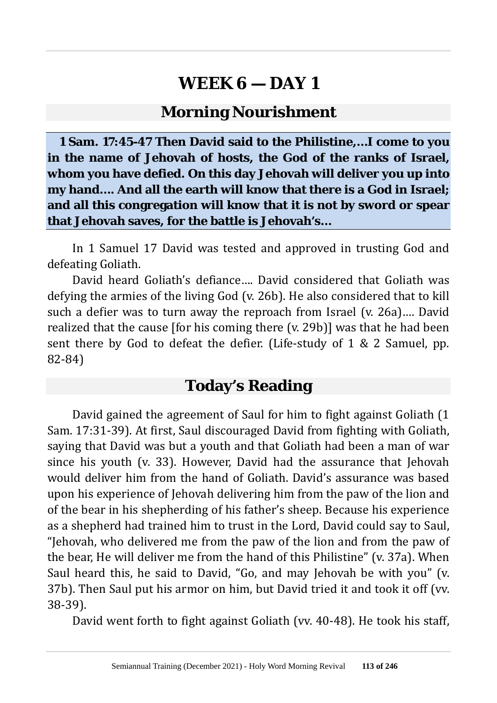### **Morning Nourishment**

**1 Sam. 17:45-47 Then David said to the Philistine,…I come to you in the name of Jehovah of hosts, the God of the ranks of Israel, whom you have defied. On this day Jehovah will deliver you up into my hand…. And all the earth will know that there is a God in Israel; and all this congregation will know that it is not by sword or spear that Jehovah saves, for the battle is Jehovah's…**

In 1 Samuel 17 David was tested and approved in trusting God and defeating Goliath.

David heard Goliath's defiance…. David considered that Goliath was defying the armies of the living God (v. 26b). He also considered that to kill such a defier was to turn away the reproach from Israel (v. 26a)…. David realized that the cause [for his coming there (v. 29b)] was that he had been sent there by God to defeat the defier. (Life-study of 1 & 2 Samuel, pp. 82-84)

### **Today's Reading**

David gained the agreement of Saul for him to fight against Goliath (1 Sam. 17:31-39). At first, Saul discouraged David from fighting with Goliath, saying that David was but a youth and that Goliath had been a man of war since his youth (v. 33). However, David had the assurance that Jehovah would deliver him from the hand of Goliath. David's assurance was based upon his experience of Jehovah delivering him from the paw of the lion and of the bear in his shepherding of his father's sheep. Because his experience as a shepherd had trained him to trust in the Lord, David could say to Saul, "Jehovah, who delivered me from the paw of the lion and from the paw of the bear, He will deliver me from the hand of this Philistine" (v. 37a). When Saul heard this, he said to David, "Go, and may Jehovah be with you" (v. 37b). Then Saul put his armor on him, but David tried it and took it off (vv. 38-39).

David went forth to fight against Goliath (vv. 40-48). He took his staff,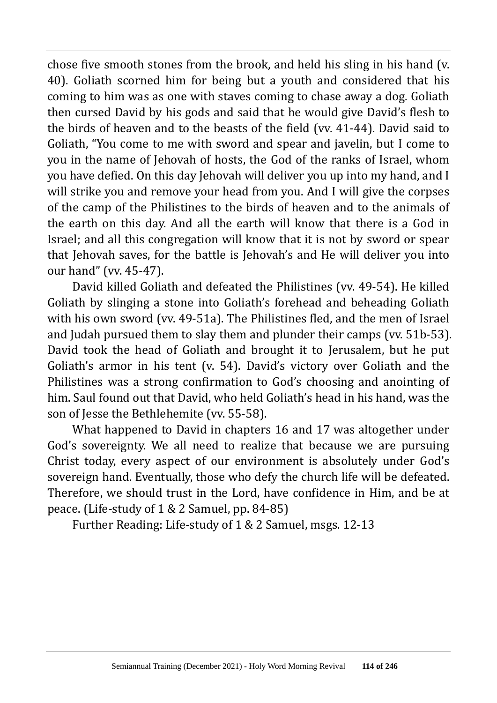chose five smooth stones from the brook, and held his sling in his hand (v. 40). Goliath scorned him for being but a youth and considered that his coming to him was as one with staves coming to chase away a dog. Goliath then cursed David by his gods and said that he would give David's flesh to the birds of heaven and to the beasts of the field (vv. 41-44). David said to Goliath, "You come to me with sword and spear and javelin, but I come to you in the name of Jehovah of hosts, the God of the ranks of Israel, whom you have defied. On this day Jehovah will deliver you up into my hand, and I will strike you and remove your head from you. And I will give the corpses of the camp of the Philistines to the birds of heaven and to the animals of the earth on this day. And all the earth will know that there is a God in Israel; and all this congregation will know that it is not by sword or spear that Jehovah saves, for the battle is Jehovah's and He will deliver you into our hand" (vv. 45-47).

David killed Goliath and defeated the Philistines (vv. 49-54). He killed Goliath by slinging a stone into Goliath's forehead and beheading Goliath with his own sword (vv. 49-51a). The Philistines fled, and the men of Israel and Judah pursued them to slay them and plunder their camps (vv. 51b-53). David took the head of Goliath and brought it to Jerusalem, but he put Goliath's armor in his tent (v. 54). David's victory over Goliath and the Philistines was a strong confirmation to God's choosing and anointing of him. Saul found out that David, who held Goliath's head in his hand, was the son of Jesse the Bethlehemite (vv. 55-58).

What happened to David in chapters 16 and 17 was altogether under God's sovereignty. We all need to realize that because we are pursuing Christ today, every aspect of our environment is absolutely under God's sovereign hand. Eventually, those who defy the church life will be defeated. Therefore, we should trust in the Lord, have confidence in Him, and be at peace. (Life-study of 1 & 2 Samuel, pp. 84-85)

Further Reading: Life-study of 1 & 2 Samuel, msgs. 12-13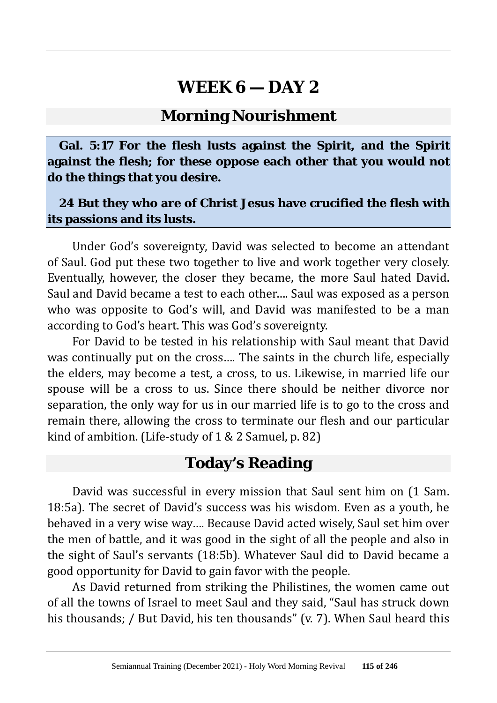#### **Morning Nourishment**

**Gal. 5:17 For the flesh lusts against the Spirit, and the Spirit against the flesh; for these oppose each other that you would not do the things that you desire.**

#### **24 But they who are of Christ Jesus have crucified the flesh with its passions and its lusts.**

Under God's sovereignty, David was selected to become an attendant of Saul. God put these two together to live and work together very closely. Eventually, however, the closer they became, the more Saul hated David. Saul and David became a test to each other…. Saul was exposed as a person who was opposite to God's will, and David was manifested to be a man according to God's heart. This was God's sovereignty.

For David to be tested in his relationship with Saul meant that David was continually put on the cross…. The saints in the church life, especially the elders, may become a test, a cross, to us. Likewise, in married life our spouse will be a cross to us. Since there should be neither divorce nor separation, the only way for us in our married life is to go to the cross and remain there, allowing the cross to terminate our flesh and our particular kind of ambition. (Life-study of 1 & 2 Samuel, p. 82)

### **Today's Reading**

David was successful in every mission that Saul sent him on (1 Sam. 18:5a). The secret of David's success was his wisdom. Even as a youth, he behaved in a very wise way…. Because David acted wisely, Saul set him over the men of battle, and it was good in the sight of all the people and also in the sight of Saul's servants (18:5b). Whatever Saul did to David became a good opportunity for David to gain favor with the people.

As David returned from striking the Philistines, the women came out of all the towns of Israel to meet Saul and they said, "Saul has struck down his thousands; / But David, his ten thousands" (v. 7). When Saul heard this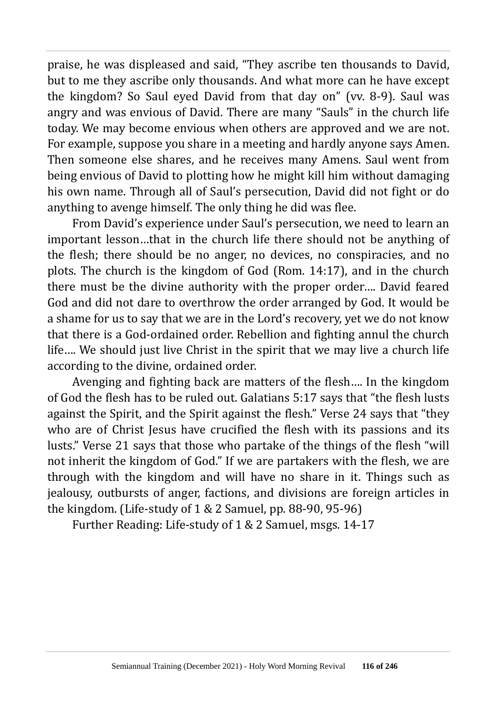praise, he was displeased and said, "They ascribe ten thousands to David, but to me they ascribe only thousands. And what more can he have except the kingdom? So Saul eyed David from that day on" (vv. 8-9). Saul was angry and was envious of David. There are many "Sauls" in the church life today. We may become envious when others are approved and we are not. For example, suppose you share in a meeting and hardly anyone says Amen. Then someone else shares, and he receives many Amens. Saul went from being envious of David to plotting how he might kill him without damaging his own name. Through all of Saul's persecution, David did not fight or do anything to avenge himself. The only thing he did was flee.

From David's experience under Saul's persecution, we need to learn an important lesson…that in the church life there should not be anything of the flesh; there should be no anger, no devices, no conspiracies, and no plots. The church is the kingdom of God (Rom. 14:17), and in the church there must be the divine authority with the proper order…. David feared God and did not dare to overthrow the order arranged by God. It would be a shame for us to say that we are in the Lord's recovery, yet we do not know that there is a God-ordained order. Rebellion and fighting annul the church life…. We should just live Christ in the spirit that we may live a church life according to the divine, ordained order.

Avenging and fighting back are matters of the flesh…. In the kingdom of God the flesh has to be ruled out. Galatians 5:17 says that "the flesh lusts against the Spirit, and the Spirit against the flesh." Verse 24 says that "they who are of Christ Jesus have crucified the flesh with its passions and its lusts." Verse 21 says that those who partake of the things of the flesh "will not inherit the kingdom of God." If we are partakers with the flesh, we are through with the kingdom and will have no share in it. Things such as jealousy, outbursts of anger, factions, and divisions are foreign articles in the kingdom. (Life-study of 1 & 2 Samuel, pp. 88-90, 95-96)

Further Reading: Life-study of 1 & 2 Samuel, msgs. 14-17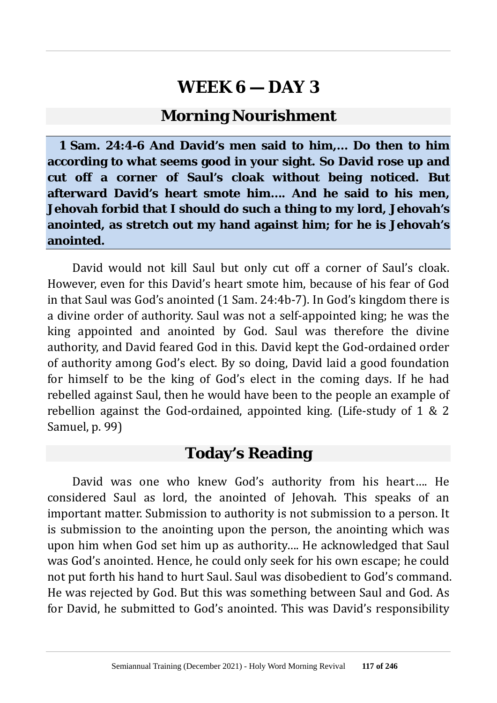### **Morning Nourishment**

**1 Sam. 24:4-6 And David's men said to him,… Do then to him according to what seems good in your sight. So David rose up and cut off a corner of Saul's cloak without being noticed. But afterward David's heart smote him…. And he said to his men, Jehovah forbid that I should do such a thing to my lord, Jehovah's anointed, as stretch out my hand against him; for he is Jehovah's anointed.**

David would not kill Saul but only cut off a corner of Saul's cloak. However, even for this David's heart smote him, because of his fear of God in that Saul was God's anointed (1 Sam. 24:4b-7). In God's kingdom there is a divine order of authority. Saul was not a self-appointed king; he was the king appointed and anointed by God. Saul was therefore the divine authority, and David feared God in this. David kept the God-ordained order of authority among God's elect. By so doing, David laid a good foundation for himself to be the king of God's elect in the coming days. If he had rebelled against Saul, then he would have been to the people an example of rebellion against the God-ordained, appointed king. (Life-study of 1 & 2 Samuel, p. 99)

### **Today's Reading**

David was one who knew God's authority from his heart…. He considered Saul as lord, the anointed of Jehovah. This speaks of an important matter. Submission to authority is not submission to a person. It is submission to the anointing upon the person, the anointing which was upon him when God set him up as authority…. He acknowledged that Saul was God's anointed. Hence, he could only seek for his own escape; he could not put forth his hand to hurt Saul. Saul was disobedient to God's command. He was rejected by God. But this was something between Saul and God. As for David, he submitted to God's anointed. This was David's responsibility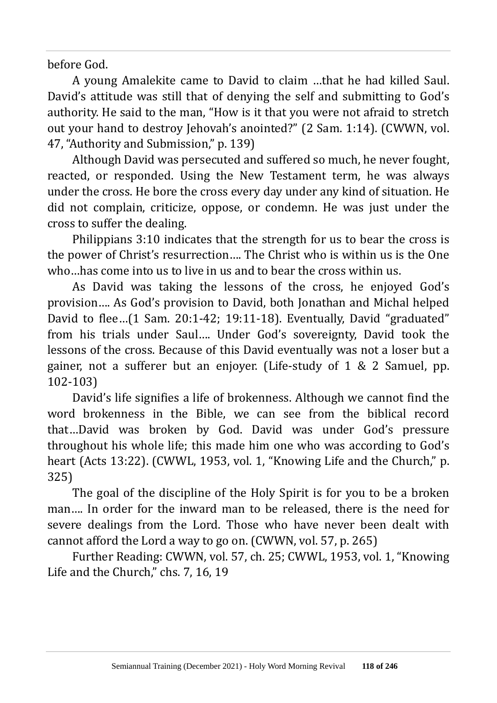before God.

A young Amalekite came to David to claim …that he had killed Saul. David's attitude was still that of denying the self and submitting to God's authority. He said to the man, "How is it that you were not afraid to stretch out your hand to destroy Jehovah's anointed?" (2 Sam. 1:14). (CWWN, vol. 47, "Authority and Submission," p. 139)

Although David was persecuted and suffered so much, he never fought, reacted, or responded. Using the New Testament term, he was always under the cross. He bore the cross every day under any kind of situation. He did not complain, criticize, oppose, or condemn. He was just under the cross to suffer the dealing.

Philippians 3:10 indicates that the strength for us to bear the cross is the power of Christ's resurrection…. The Christ who is within us is the One who…has come into us to live in us and to bear the cross within us.

As David was taking the lessons of the cross, he enjoyed God's provision…. As God's provision to David, both Jonathan and Michal helped David to flee…(1 Sam. 20:1-42; 19:11-18). Eventually, David "graduated" from his trials under Saul…. Under God's sovereignty, David took the lessons of the cross. Because of this David eventually was not a loser but a gainer, not a sufferer but an enjoyer. (Life-study of 1 & 2 Samuel, pp. 102-103)

David's life signifies a life of brokenness. Although we cannot find the word brokenness in the Bible, we can see from the biblical record that…David was broken by God. David was under God's pressure throughout his whole life; this made him one who was according to God's heart (Acts 13:22). (CWWL, 1953, vol. 1, "Knowing Life and the Church," p. 325)

The goal of the discipline of the Holy Spirit is for you to be a broken man…. In order for the inward man to be released, there is the need for severe dealings from the Lord. Those who have never been dealt with cannot afford the Lord a way to go on. (CWWN, vol. 57, p. 265)

Further Reading: CWWN, vol. 57, ch. 25; CWWL, 1953, vol. 1, "Knowing Life and the Church," chs. 7, 16, 19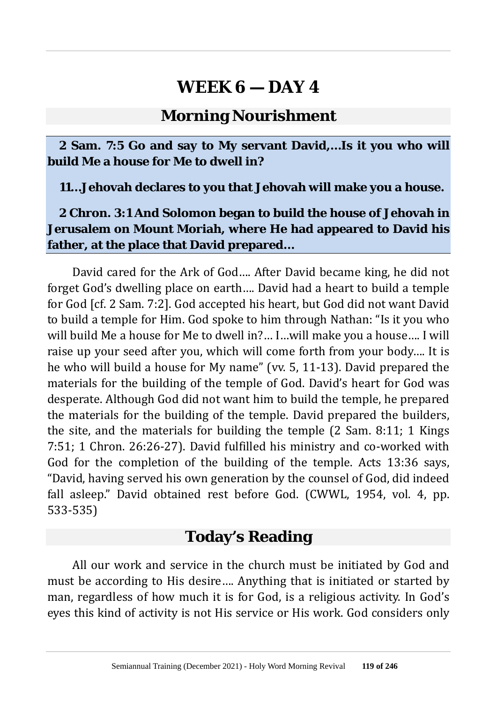### **Morning Nourishment**

**2 Sam. 7:5 Go and say to My servant David,…Is it you who will build Me a house for Me to dwell in?**

**11…Jehovah declares to you that Jehovah will make you a house.**

**2 Chron. 3:1 And Solomon began to build the house of Jehovah in Jerusalem on Mount Moriah, where He had appeared to David his father, at the place that David prepared…**

David cared for the Ark of God…. After David became king, he did not forget God's dwelling place on earth…. David had a heart to build a temple for God [cf. 2 Sam. 7:2]. God accepted his heart, but God did not want David to build a temple for Him. God spoke to him through Nathan: "Is it you who will build Me a house for Me to dwell in?… I…will make you a house…. I will raise up your seed after you, which will come forth from your body…. It is he who will build a house for My name" (vv. 5, 11-13). David prepared the materials for the building of the temple of God. David's heart for God was desperate. Although God did not want him to build the temple, he prepared the materials for the building of the temple. David prepared the builders, the site, and the materials for building the temple (2 Sam. 8:11; 1 Kings 7:51; 1 Chron. 26:26-27). David fulfilled his ministry and co-worked with God for the completion of the building of the temple. Acts 13:36 says, "David, having served his own generation by the counsel of God, did indeed fall asleep." David obtained rest before God. (CWWL, 1954, vol. 4, pp. 533-535)

### **Today's Reading**

All our work and service in the church must be initiated by God and must be according to His desire…. Anything that is initiated or started by man, regardless of how much it is for God, is a religious activity. In God's eyes this kind of activity is not His service or His work. God considers only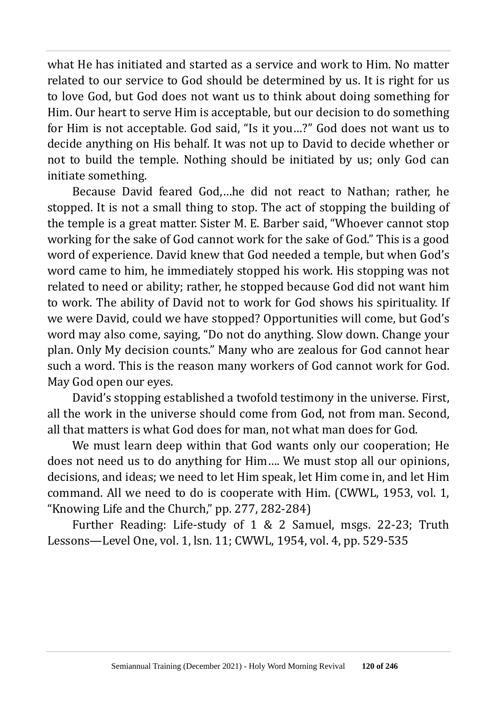what He has initiated and started as a service and work to Him. No matter related to our service to God should be determined by us. It is right for us to love God, but God does not want us to think about doing something for Him. Our heart to serve Him is acceptable, but our decision to do something for Him is not acceptable. God said, "Is it you…?" God does not want us to decide anything on His behalf. It was not up to David to decide whether or not to build the temple. Nothing should be initiated by us; only God can initiate something.

Because David feared God,…he did not react to Nathan; rather, he stopped. It is not a small thing to stop. The act of stopping the building of the temple is a great matter. Sister M. E. Barber said, "Whoever cannot stop working for the sake of God cannot work for the sake of God." This is a good word of experience. David knew that God needed a temple, but when God's word came to him, he immediately stopped his work. His stopping was not related to need or ability; rather, he stopped because God did not want him to work. The ability of David not to work for God shows his spirituality. If we were David, could we have stopped? Opportunities will come, but God's word may also come, saying, "Do not do anything. Slow down. Change your plan. Only My decision counts." Many who are zealous for God cannot hear such a word. This is the reason many workers of God cannot work for God. May God open our eyes.

David's stopping established a twofold testimony in the universe. First, all the work in the universe should come from God, not from man. Second, all that matters is what God does for man, not what man does for God.

We must learn deep within that God wants only our cooperation; He does not need us to do anything for Him…. We must stop all our opinions, decisions, and ideas; we need to let Him speak, let Him come in, and let Him command. All we need to do is cooperate with Him. (CWWL, 1953, vol. 1, "Knowing Life and the Church," pp. 277, 282-284)

Further Reading: Life-study of 1 & 2 Samuel, msgs. 22-23; Truth Lessons—Level One, vol. 1, lsn. 11; CWWL, 1954, vol. 4, pp. 529-535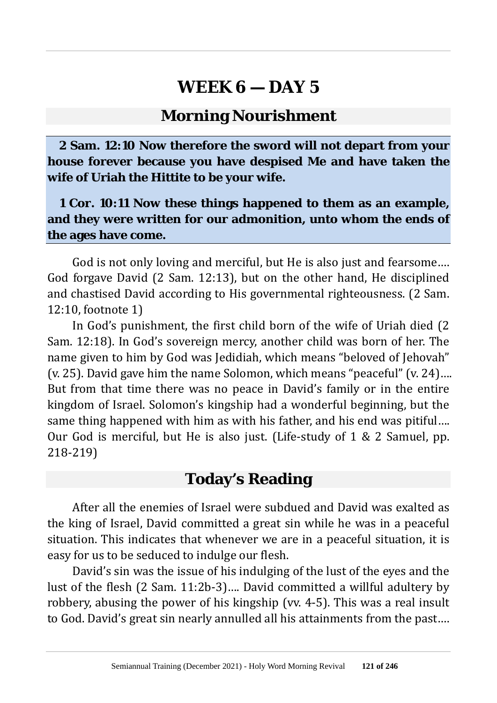#### **Morning Nourishment**

**2 Sam. 12:10 Now therefore the sword will not depart from your house forever because you have despised Me and have taken the wife of Uriah the Hittite to be your wife.**

**1 Cor. 10:11 Now these things happened to them as an example, and they were written for our admonition, unto whom the ends of the ages have come.**

God is not only loving and merciful, but He is also just and fearsome…. God forgave David (2 Sam. 12:13), but on the other hand, He disciplined and chastised David according to His governmental righteousness. (2 Sam. 12:10, footnote 1)

In God's punishment, the first child born of the wife of Uriah died (2 Sam. 12:18). In God's sovereign mercy, another child was born of her. The name given to him by God was Jedidiah, which means "beloved of Jehovah" (v. 25). David gave him the name Solomon, which means "peaceful" (v. 24)…. But from that time there was no peace in David's family or in the entire kingdom of Israel. Solomon's kingship had a wonderful beginning, but the same thing happened with him as with his father, and his end was pitiful…. Our God is merciful, but He is also just. (Life-study of 1 & 2 Samuel, pp. 218-219)

### **Today's Reading**

After all the enemies of Israel were subdued and David was exalted as the king of Israel, David committed a great sin while he was in a peaceful situation. This indicates that whenever we are in a peaceful situation, it is easy for us to be seduced to indulge our flesh.

David's sin was the issue of his indulging of the lust of the eyes and the lust of the flesh (2 Sam. 11:2b-3)…. David committed a willful adultery by robbery, abusing the power of his kingship (vv. 4-5). This was a real insult to God. David's great sin nearly annulled all his attainments from the past….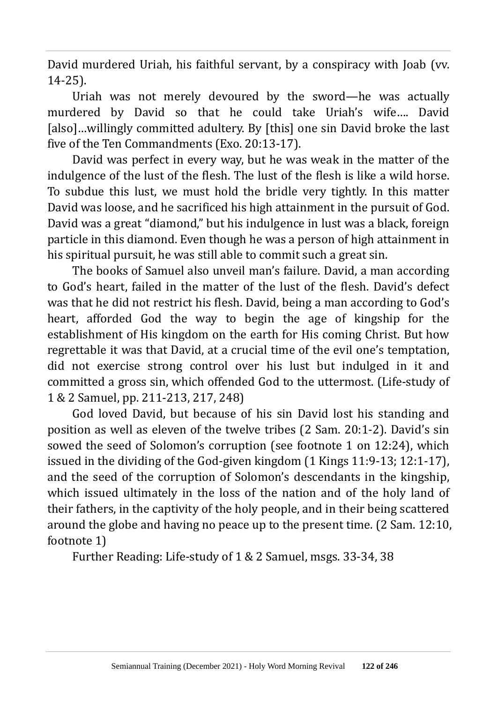David murdered Uriah, his faithful servant, by a conspiracy with Joab (vv. 14-25).

Uriah was not merely devoured by the sword—he was actually murdered by David so that he could take Uriah's wife…. David [also]...willingly committed adultery. By [this] one sin David broke the last five of the Ten Commandments (Exo. 20:13-17).

David was perfect in every way, but he was weak in the matter of the indulgence of the lust of the flesh. The lust of the flesh is like a wild horse. To subdue this lust, we must hold the bridle very tightly. In this matter David was loose, and he sacrificed his high attainment in the pursuit of God. David was a great "diamond," but his indulgence in lust was a black, foreign particle in this diamond. Even though he was a person of high attainment in his spiritual pursuit, he was still able to commit such a great sin.

The books of Samuel also unveil man's failure. David, a man according to God's heart, failed in the matter of the lust of the flesh. David's defect was that he did not restrict his flesh. David, being a man according to God's heart, afforded God the way to begin the age of kingship for the establishment of His kingdom on the earth for His coming Christ. But how regrettable it was that David, at a crucial time of the evil one's temptation, did not exercise strong control over his lust but indulged in it and committed a gross sin, which offended God to the uttermost. (Life-study of 1 & 2 Samuel, pp. 211-213, 217, 248)

God loved David, but because of his sin David lost his standing and position as well as eleven of the twelve tribes (2 Sam. 20:1-2). David's sin sowed the seed of Solomon's corruption (see footnote 1 on 12:24), which issued in the dividing of the God-given kingdom (1 Kings 11:9-13; 12:1-17), and the seed of the corruption of Solomon's descendants in the kingship, which issued ultimately in the loss of the nation and of the holy land of their fathers, in the captivity of the holy people, and in their being scattered around the globe and having no peace up to the present time. (2 Sam. 12:10, footnote 1)

Further Reading: Life-study of 1 & 2 Samuel, msgs. 33-34, 38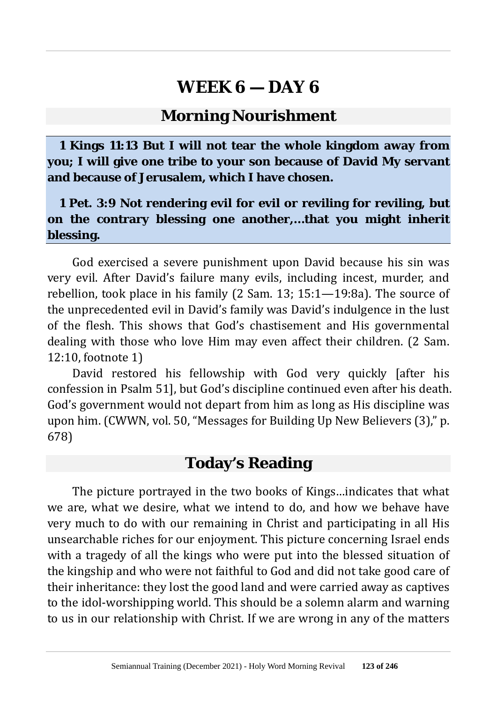#### **Morning Nourishment**

**1 Kings 11:13 But I will not tear the whole kingdom away from you; I will give one tribe to your son because of David My servant and because of Jerusalem, which I have chosen.**

**1 Pet. 3:9 Not rendering evil for evil or reviling for reviling, but on the contrary blessing one another,…that you might inherit blessing.**

God exercised a severe punishment upon David because his sin was very evil. After David's failure many evils, including incest, murder, and rebellion, took place in his family (2 Sam. 13; 15:1—19:8a). The source of the unprecedented evil in David's family was David's indulgence in the lust of the flesh. This shows that God's chastisement and His governmental dealing with those who love Him may even affect their children. (2 Sam. 12:10, footnote 1)

David restored his fellowship with God very quickly [after his confession in Psalm 51], but God's discipline continued even after his death. God's government would not depart from him as long as His discipline was upon him. (CWWN, vol. 50, "Messages for Building Up New Believers (3)," p. 678)

### **Today's Reading**

The picture portrayed in the two books of Kings…indicates that what we are, what we desire, what we intend to do, and how we behave have very much to do with our remaining in Christ and participating in all His unsearchable riches for our enjoyment. This picture concerning Israel ends with a tragedy of all the kings who were put into the blessed situation of the kingship and who were not faithful to God and did not take good care of their inheritance: they lost the good land and were carried away as captives to the idol-worshipping world. This should be a solemn alarm and warning to us in our relationship with Christ. If we are wrong in any of the matters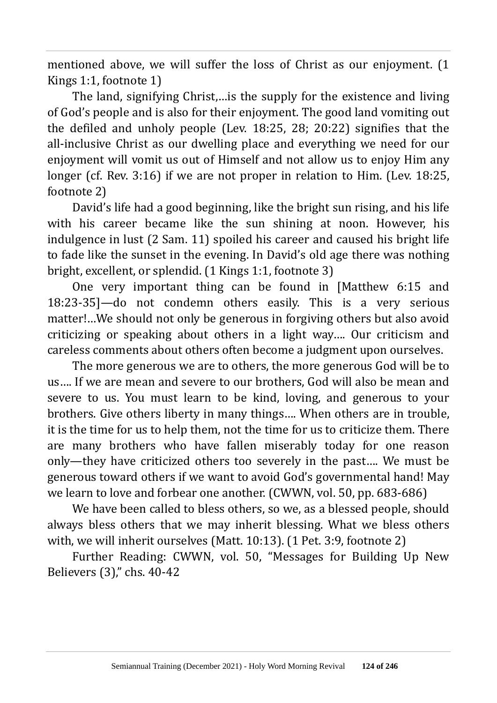mentioned above, we will suffer the loss of Christ as our enjoyment. (1 Kings 1:1, footnote 1)

The land, signifying Christ,…is the supply for the existence and living of God's people and is also for their enjoyment. The good land vomiting out the defiled and unholy people (Lev. 18:25, 28; 20:22) signifies that the all-inclusive Christ as our dwelling place and everything we need for our enjoyment will vomit us out of Himself and not allow us to enjoy Him any longer (cf. Rev. 3:16) if we are not proper in relation to Him. (Lev. 18:25, footnote 2)

David's life had a good beginning, like the bright sun rising, and his life with his career became like the sun shining at noon. However, his indulgence in lust (2 Sam. 11) spoiled his career and caused his bright life to fade like the sunset in the evening. In David's old age there was nothing bright, excellent, or splendid. (1 Kings 1:1, footnote 3)

One very important thing can be found in [Matthew 6:15 and 18:23-35]—do not condemn others easily. This is a very serious matter!…We should not only be generous in forgiving others but also avoid criticizing or speaking about others in a light way…. Our criticism and careless comments about others often become a judgment upon ourselves.

The more generous we are to others, the more generous God will be to us…. If we are mean and severe to our brothers, God will also be mean and severe to us. You must learn to be kind, loving, and generous to your brothers. Give others liberty in many things…. When others are in trouble, it is the time for us to help them, not the time for us to criticize them. There are many brothers who have fallen miserably today for one reason only—they have criticized others too severely in the past…. We must be generous toward others if we want to avoid God's governmental hand! May we learn to love and forbear one another. (CWWN, vol. 50, pp. 683-686)

We have been called to bless others, so we, as a blessed people, should always bless others that we may inherit blessing. What we bless others with, we will inherit ourselves (Matt. 10:13). (1 Pet. 3:9, footnote 2)

Further Reading: CWWN, vol. 50, "Messages for Building Up New Believers (3)," chs. 40-42